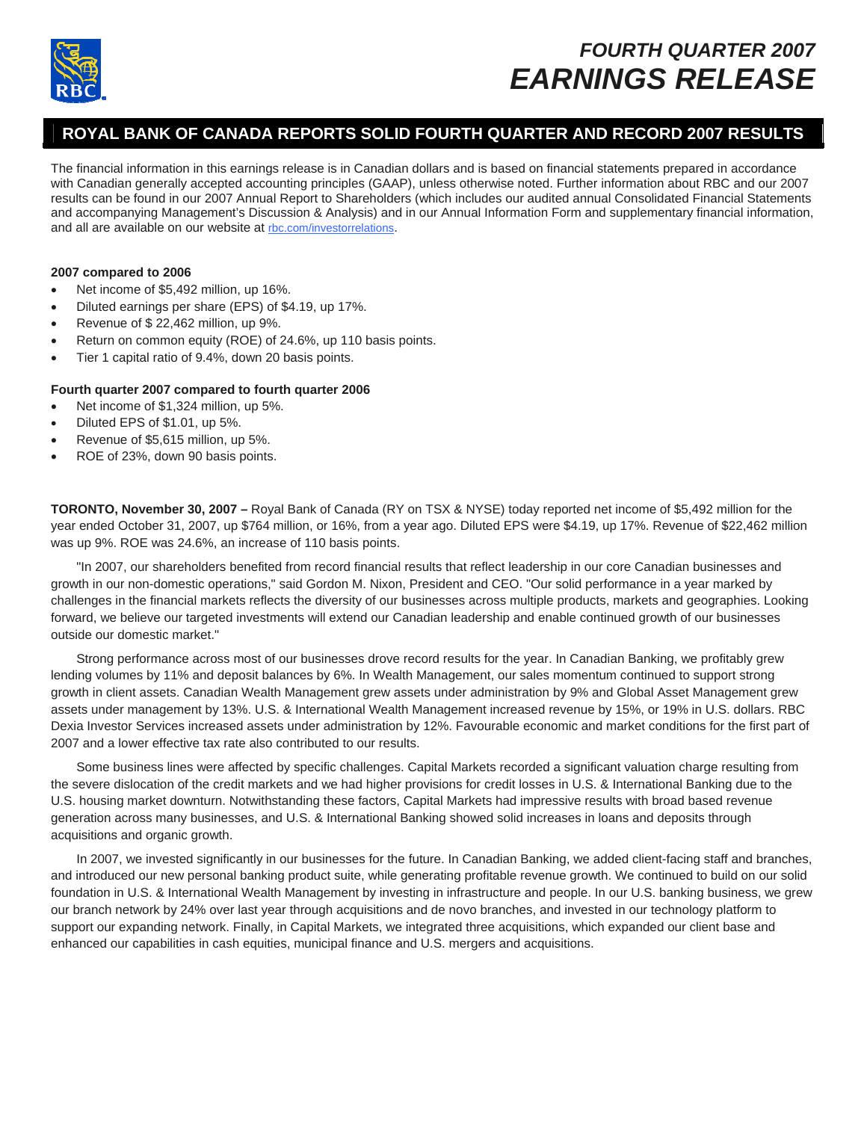

# *FOURTH QUARTER 2007 EARNINGS RELEASE*

## **ROYAL BANK OF CANADA REPORTS SOLID FOURTH QUARTER AND RECORD 2007 RESULTS**

The financial information in this earnings release is in Canadian dollars and is based on financial statements prepared in accordance with Canadian generally accepted accounting principles (GAAP), unless otherwise noted. Further information about RBC and our 2007 results can be found in our 2007 Annual Report to Shareholders (which includes our audited annual Consolidated Financial Statements and accompanying Management's Discussion & Analysis) and in our Annual Information Form and supplementary financial information, and all are available on our website at [rbc.com/investorrelations](http://www.rbc.com/investorrelations).

## **2007 compared to 2006**

- Net income of \$5,492 million, up 16%.
- Diluted earnings per share (EPS) of \$4.19, up 17%.
- Revenue of \$ 22,462 million, up 9%.
- Return on common equity (ROE) of 24.6%, up 110 basis points.
- Tier 1 capital ratio of 9.4%, down 20 basis points.

## **Fourth quarter 2007 compared to fourth quarter 2006**

- Net income of \$1,324 million, up 5%.
- Diluted EPS of \$1.01, up 5%.
- Revenue of \$5,615 million, up 5%.
- ROE of 23%, down 90 basis points.

**TORONTO, November 30, 2007** *–* Royal Bank of Canada (RY on TSX & NYSE) today reported net income of \$5,492 million for the year ended October 31, 2007, up \$764 million, or 16%, from a year ago. Diluted EPS were \$4.19, up 17%. Revenue of \$22,462 million was up 9%. ROE was 24.6%, an increase of 110 basis points.

"In 2007, our shareholders benefited from record financial results that reflect leadership in our core Canadian businesses and growth in our non-domestic operations," said Gordon M. Nixon, President and CEO. "Our solid performance in a year marked by challenges in the financial markets reflects the diversity of our businesses across multiple products, markets and geographies. Looking forward, we believe our targeted investments will extend our Canadian leadership and enable continued growth of our businesses outside our domestic market."

Strong performance across most of our businesses drove record results for the year. In Canadian Banking, we profitably grew lending volumes by 11% and deposit balances by 6%. In Wealth Management, our sales momentum continued to support strong growth in client assets. Canadian Wealth Management grew assets under administration by 9% and Global Asset Management grew assets under management by 13%. U.S. & International Wealth Management increased revenue by 15%, or 19% in U.S. dollars. RBC Dexia Investor Services increased assets under administration by 12%. Favourable economic and market conditions for the first part of 2007 and a lower effective tax rate also contributed to our results.

Some business lines were affected by specific challenges. Capital Markets recorded a significant valuation charge resulting from the severe dislocation of the credit markets and we had higher provisions for credit losses in U.S. & International Banking due to the U.S. housing market downturn. Notwithstanding these factors, Capital Markets had impressive results with broad based revenue generation across many businesses, and U.S. & International Banking showed solid increases in loans and deposits through acquisitions and organic growth.

In 2007, we invested significantly in our businesses for the future. In Canadian Banking, we added client-facing staff and branches, and introduced our new personal banking product suite, while generating profitable revenue growth. We continued to build on our solid foundation in U.S. & International Wealth Management by investing in infrastructure and people. In our U.S. banking business, we grew our branch network by 24% over last year through acquisitions and de novo branches, and invested in our technology platform to support our expanding network. Finally, in Capital Markets, we integrated three acquisitions, which expanded our client base and enhanced our capabilities in cash equities, municipal finance and U.S. mergers and acquisitions.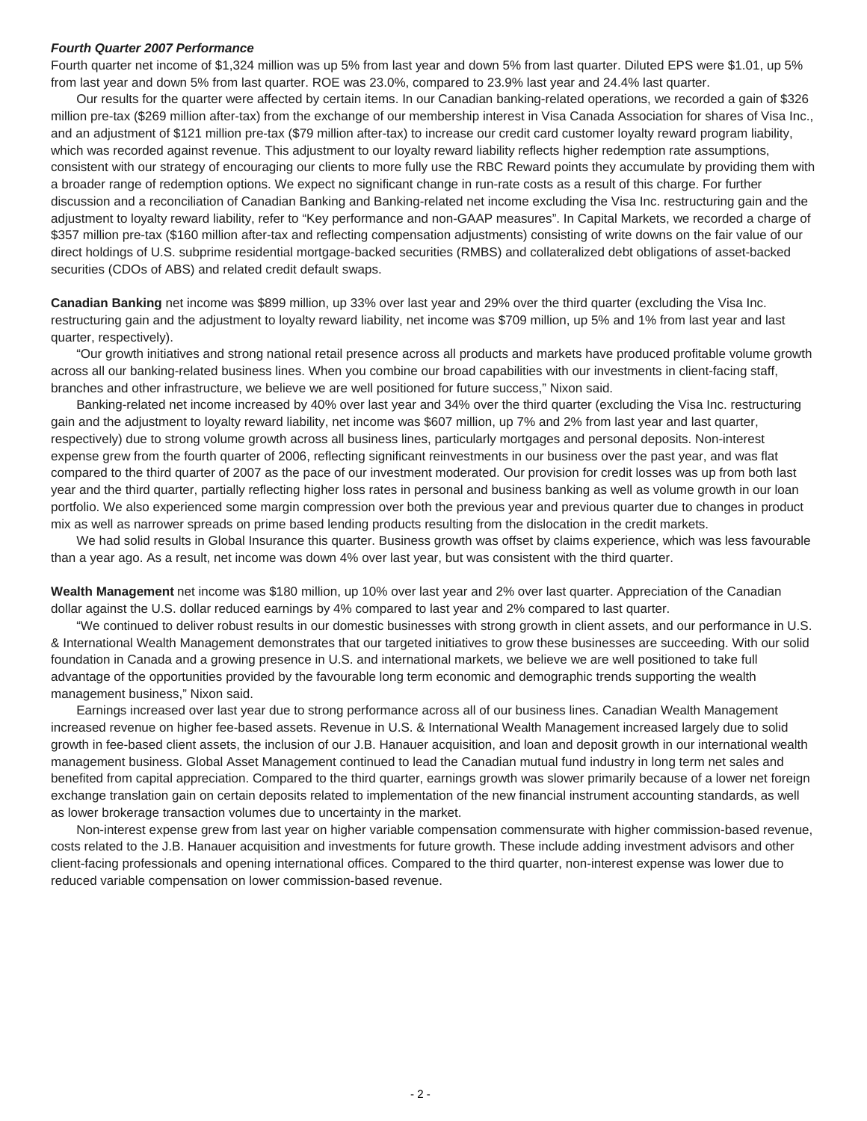#### *Fourth Quarter 2007 Performance*

Fourth quarter net income of \$1,324 million was up 5% from last year and down 5% from last quarter. Diluted EPS were \$1.01, up 5% from last year and down 5% from last quarter. ROE was 23.0%, compared to 23.9% last year and 24.4% last quarter.

Our results for the quarter were affected by certain items. In our Canadian banking-related operations, we recorded a gain of \$326 million pre-tax (\$269 million after-tax) from the exchange of our membership interest in Visa Canada Association for shares of Visa Inc., and an adjustment of \$121 million pre-tax (\$79 million after-tax) to increase our credit card customer loyalty reward program liability, which was recorded against revenue. This adjustment to our loyalty reward liability reflects higher redemption rate assumptions, consistent with our strategy of encouraging our clients to more fully use the RBC Reward points they accumulate by providing them with a broader range of redemption options. We expect no significant change in run-rate costs as a result of this charge. For further discussion and a reconciliation of Canadian Banking and Banking-related net income excluding the Visa Inc. restructuring gain and the adjustment to loyalty reward liability, refer to "Key performance and non-GAAP measures". In Capital Markets, we recorded a charge of \$357 million pre-tax (\$160 million after-tax and reflecting compensation adjustments) consisting of write downs on the fair value of our direct holdings of U.S. subprime residential mortgage-backed securities (RMBS) and collateralized debt obligations of asset-backed securities (CDOs of ABS) and related credit default swaps.

**Canadian Banking** net income was \$899 million, up 33% over last year and 29% over the third quarter (excluding the Visa Inc. restructuring gain and the adjustment to loyalty reward liability, net income was \$709 million, up 5% and 1% from last year and last quarter, respectively).

"Our growth initiatives and strong national retail presence across all products and markets have produced profitable volume growth across all our banking-related business lines. When you combine our broad capabilities with our investments in client-facing staff, branches and other infrastructure, we believe we are well positioned for future success," Nixon said.

Banking-related net income increased by 40% over last year and 34% over the third quarter (excluding the Visa Inc. restructuring gain and the adjustment to loyalty reward liability, net income was \$607 million, up 7% and 2% from last year and last quarter, respectively) due to strong volume growth across all business lines, particularly mortgages and personal deposits. Non-interest expense grew from the fourth quarter of 2006, reflecting significant reinvestments in our business over the past year, and was flat compared to the third quarter of 2007 as the pace of our investment moderated. Our provision for credit losses was up from both last year and the third quarter, partially reflecting higher loss rates in personal and business banking as well as volume growth in our loan portfolio. We also experienced some margin compression over both the previous year and previous quarter due to changes in product mix as well as narrower spreads on prime based lending products resulting from the dislocation in the credit markets.

We had solid results in Global Insurance this quarter. Business growth was offset by claims experience, which was less favourable than a year ago. As a result, net income was down 4% over last year, but was consistent with the third quarter.

**Wealth Management** net income was \$180 million, up 10% over last year and 2% over last quarter. Appreciation of the Canadian dollar against the U.S. dollar reduced earnings by 4% compared to last year and 2% compared to last quarter.

"We continued to deliver robust results in our domestic businesses with strong growth in client assets, and our performance in U.S. & International Wealth Management demonstrates that our targeted initiatives to grow these businesses are succeeding. With our solid foundation in Canada and a growing presence in U.S. and international markets, we believe we are well positioned to take full advantage of the opportunities provided by the favourable long term economic and demographic trends supporting the wealth management business," Nixon said.

Earnings increased over last year due to strong performance across all of our business lines. Canadian Wealth Management increased revenue on higher fee-based assets. Revenue in U.S. & International Wealth Management increased largely due to solid growth in fee-based client assets, the inclusion of our J.B. Hanauer acquisition, and loan and deposit growth in our international wealth management business. Global Asset Management continued to lead the Canadian mutual fund industry in long term net sales and benefited from capital appreciation. Compared to the third quarter, earnings growth was slower primarily because of a lower net foreign exchange translation gain on certain deposits related to implementation of the new financial instrument accounting standards, as well as lower brokerage transaction volumes due to uncertainty in the market.

Non-interest expense grew from last year on higher variable compensation commensurate with higher commission-based revenue, costs related to the J.B. Hanauer acquisition and investments for future growth. These include adding investment advisors and other client-facing professionals and opening international offices. Compared to the third quarter, non-interest expense was lower due to reduced variable compensation on lower commission-based revenue.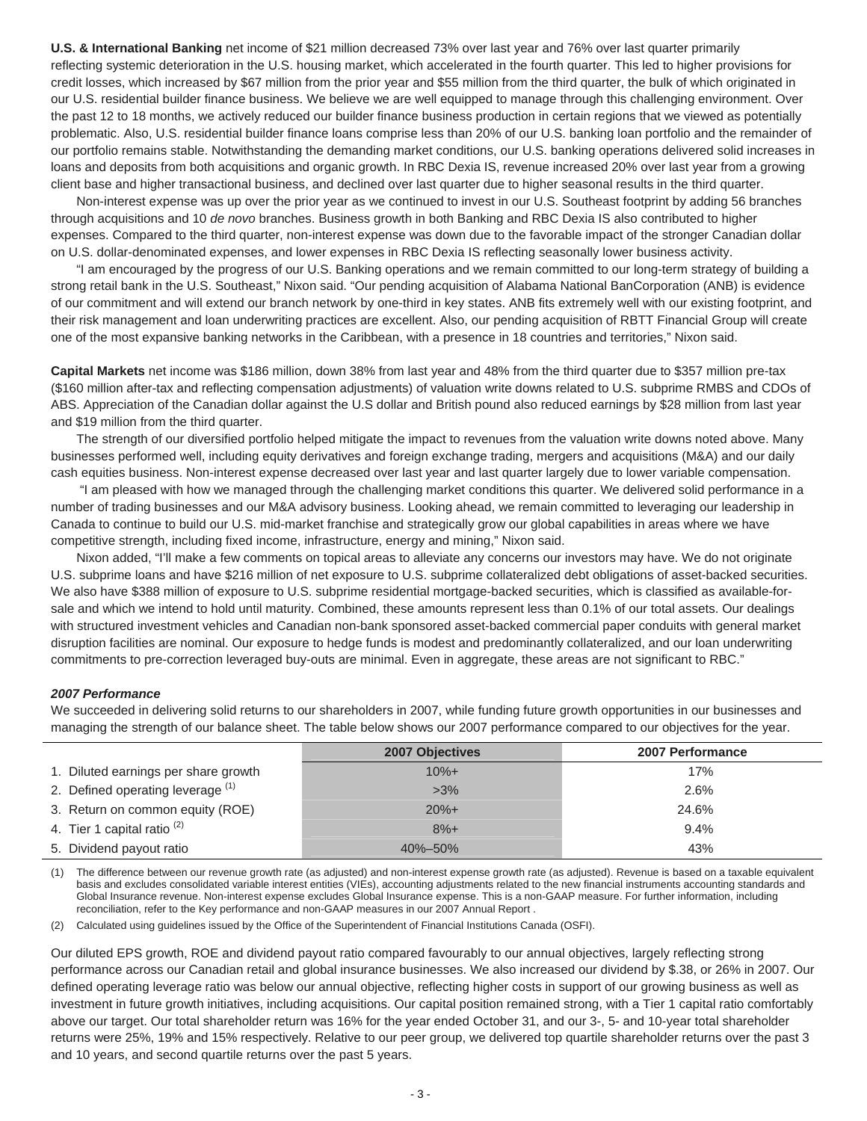**U.S. & International Banking** net income of \$21 million decreased 73% over last year and 76% over last quarter primarily reflecting systemic deterioration in the U.S. housing market, which accelerated in the fourth quarter. This led to higher provisions for credit losses, which increased by \$67 million from the prior year and \$55 million from the third quarter, the bulk of which originated in our U.S. residential builder finance business. We believe we are well equipped to manage through this challenging environment. Over the past 12 to 18 months, we actively reduced our builder finance business production in certain regions that we viewed as potentially problematic. Also, U.S. residential builder finance loans comprise less than 20% of our U.S. banking loan portfolio and the remainder of our portfolio remains stable. Notwithstanding the demanding market conditions, our U.S. banking operations delivered solid increases in loans and deposits from both acquisitions and organic growth. In RBC Dexia IS, revenue increased 20% over last year from a growing client base and higher transactional business, and declined over last quarter due to higher seasonal results in the third quarter.

Non-interest expense was up over the prior year as we continued to invest in our U.S. Southeast footprint by adding 56 branches through acquisitions and 10 *de novo* branches. Business growth in both Banking and RBC Dexia IS also contributed to higher expenses. Compared to the third quarter, non-interest expense was down due to the favorable impact of the stronger Canadian dollar on U.S. dollar-denominated expenses, and lower expenses in RBC Dexia IS reflecting seasonally lower business activity.

"I am encouraged by the progress of our U.S. Banking operations and we remain committed to our long-term strategy of building a strong retail bank in the U.S. Southeast," Nixon said. "Our pending acquisition of Alabama National BanCorporation (ANB) is evidence of our commitment and will extend our branch network by one-third in key states. ANB fits extremely well with our existing footprint, and their risk management and loan underwriting practices are excellent. Also, our pending acquisition of RBTT Financial Group will create one of the most expansive banking networks in the Caribbean, with a presence in 18 countries and territories," Nixon said.

**Capital Markets** net income was \$186 million, down 38% from last year and 48% from the third quarter due to \$357 million pre-tax (\$160 million after-tax and reflecting compensation adjustments) of valuation write downs related to U.S. subprime RMBS and CDOs of ABS. Appreciation of the Canadian dollar against the U.S dollar and British pound also reduced earnings by \$28 million from last year and \$19 million from the third quarter.

The strength of our diversified portfolio helped mitigate the impact to revenues from the valuation write downs noted above. Many businesses performed well, including equity derivatives and foreign exchange trading, mergers and acquisitions (M&A) and our daily cash equities business. Non-interest expense decreased over last year and last quarter largely due to lower variable compensation.

 "I am pleased with how we managed through the challenging market conditions this quarter. We delivered solid performance in a number of trading businesses and our M&A advisory business. Looking ahead, we remain committed to leveraging our leadership in Canada to continue to build our U.S. mid-market franchise and strategically grow our global capabilities in areas where we have competitive strength, including fixed income, infrastructure, energy and mining," Nixon said.

Nixon added, "I'll make a few comments on topical areas to alleviate any concerns our investors may have. We do not originate U.S. subprime loans and have \$216 million of net exposure to U.S. subprime collateralized debt obligations of asset-backed securities. We also have \$388 million of exposure to U.S. subprime residential mortgage-backed securities, which is classified as available-forsale and which we intend to hold until maturity. Combined, these amounts represent less than 0.1% of our total assets. Our dealings with structured investment vehicles and Canadian non-bank sponsored asset-backed commercial paper conduits with general market disruption facilities are nominal. Our exposure to hedge funds is modest and predominantly collateralized, and our loan underwriting commitments to pre-correction leveraged buy-outs are minimal. Even in aggregate, these areas are not significant to RBC."

#### *2007 Performance*

We succeeded in delivering solid returns to our shareholders in 2007, while funding future growth opportunities in our businesses and managing the strength of our balance sheet. The table below shows our 2007 performance compared to our objectives for the year.

|                                      | <b>2007 Objectives</b> | <b>2007 Performance</b> |
|--------------------------------------|------------------------|-------------------------|
| 1. Diluted earnings per share growth | $10% +$                | 17%                     |
| 2. Defined operating leverage (1)    | $>3\%$                 | 2.6%                    |
| 3. Return on common equity (ROE)     | $20%+$                 | 24.6%                   |
| 4. Tier 1 capital ratio $(2)$        | $8%+$                  | $9.4\%$                 |
| 5. Dividend payout ratio             | 40%-50%                | 43%                     |

(1) The difference between our revenue growth rate (as adjusted) and non-interest expense growth rate (as adjusted). Revenue is based on a taxable equivalent basis and excludes consolidated variable interest entities (VIEs), accounting adjustments related to the new financial instruments accounting standards and Global Insurance revenue. Non-interest expense excludes Global Insurance expense. This is a non-GAAP measure. For further information, including reconciliation, refer to the Key performance and non-GAAP measures in our 2007 Annual Report .

(2) Calculated using guidelines issued by the Office of the Superintendent of Financial Institutions Canada (OSFI).

Our diluted EPS growth, ROE and dividend payout ratio compared favourably to our annual objectives, largely reflecting strong performance across our Canadian retail and global insurance businesses. We also increased our dividend by \$.38, or 26% in 2007. Our defined operating leverage ratio was below our annual objective, reflecting higher costs in support of our growing business as well as investment in future growth initiatives, including acquisitions. Our capital position remained strong, with a Tier 1 capital ratio comfortably above our target. Our total shareholder return was 16% for the year ended October 31, and our 3-, 5- and 10-year total shareholder returns were 25%, 19% and 15% respectively. Relative to our peer group, we delivered top quartile shareholder returns over the past 3 and 10 years, and second quartile returns over the past 5 years.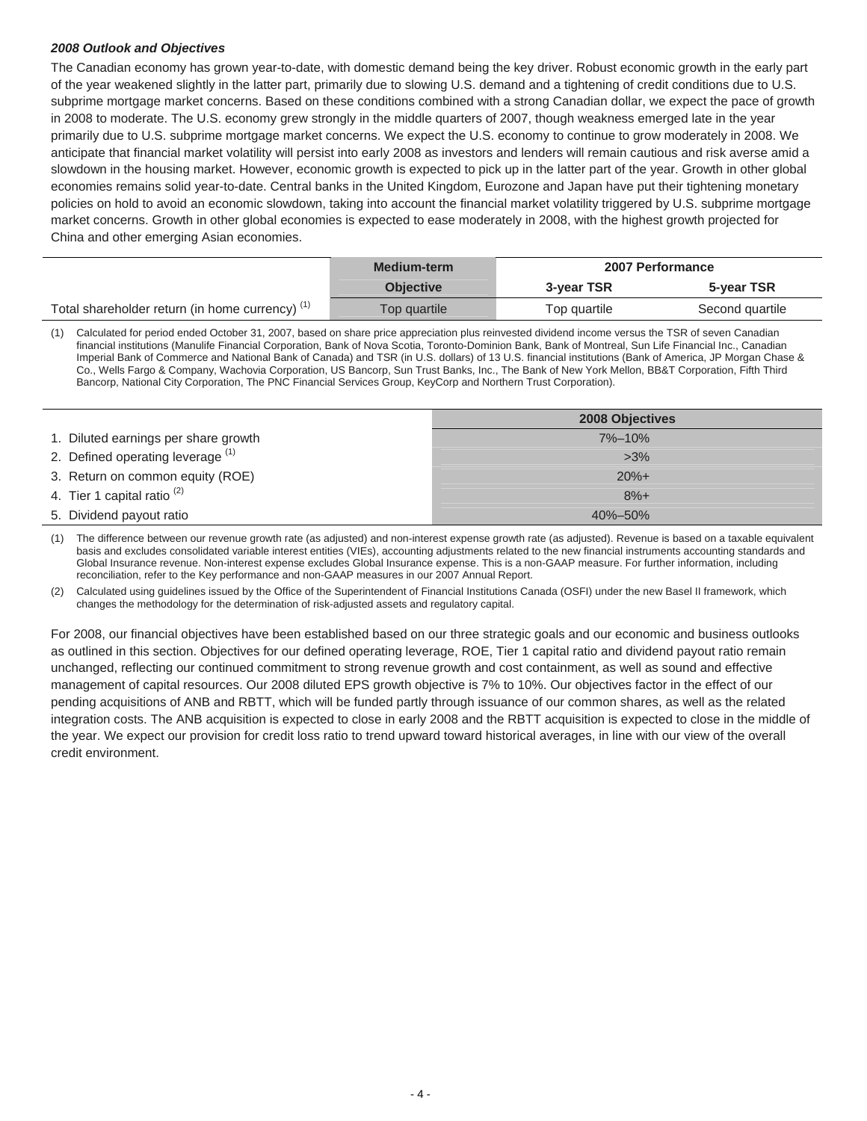## *2008 Outlook and Objectives*

The Canadian economy has grown year-to-date, with domestic demand being the key driver. Robust economic growth in the early part of the year weakened slightly in the latter part, primarily due to slowing U.S. demand and a tightening of credit conditions due to U.S. subprime mortgage market concerns. Based on these conditions combined with a strong Canadian dollar, we expect the pace of growth in 2008 to moderate. The U.S. economy grew strongly in the middle quarters of 2007, though weakness emerged late in the year primarily due to U.S. subprime mortgage market concerns. We expect the U.S. economy to continue to grow moderately in 2008. We anticipate that financial market volatility will persist into early 2008 as investors and lenders will remain cautious and risk averse amid a slowdown in the housing market. However, economic growth is expected to pick up in the latter part of the year. Growth in other global economies remains solid year-to-date. Central banks in the United Kingdom, Eurozone and Japan have put their tightening monetary policies on hold to avoid an economic slowdown, taking into account the financial market volatility triggered by U.S. subprime mortgage market concerns. Growth in other global economies is expected to ease moderately in 2008, with the highest growth projected for China and other emerging Asian economies.

|                                                            | Medium-term      |              | <b>2007 Performance</b> |
|------------------------------------------------------------|------------------|--------------|-------------------------|
|                                                            | <b>Objective</b> | 3-year TSR   | 5-year TSR              |
| Total shareholder return (in home currency) <sup>(1)</sup> | Top quartile     | Top quartile | Second quartile         |

(1) Calculated for period ended October 31, 2007, based on share price appreciation plus reinvested dividend income versus the TSR of seven Canadian financial institutions (Manulife Financial Corporation, Bank of Nova Scotia, Toronto-Dominion Bank, Bank of Montreal, Sun Life Financial Inc., Canadian Imperial Bank of Commerce and National Bank of Canada) and TSR (in U.S. dollars) of 13 U.S. financial institutions (Bank of America, JP Morgan Chase & Co., Wells Fargo & Company, Wachovia Corporation, US Bancorp, Sun Trust Banks, Inc., The Bank of New York Mellon, BB&T Corporation, Fifth Third Bancorp, National City Corporation, The PNC Financial Services Group, KeyCorp and Northern Trust Corporation).

|                                        | <b>2008 Objectives</b> |
|----------------------------------------|------------------------|
| 1. Diluted earnings per share growth   | $7\% - 10\%$           |
| 2. Defined operating leverage (1)      | $>3\%$                 |
| 3. Return on common equity (ROE)       | $20%+$                 |
| 4. Tier 1 capital ratio <sup>(2)</sup> | $8%+$                  |
| 5. Dividend payout ratio               | $40\% - 50\%$          |

(1) The difference between our revenue growth rate (as adjusted) and non-interest expense growth rate (as adjusted). Revenue is based on a taxable equivalent basis and excludes consolidated variable interest entities (VIEs), accounting adjustments related to the new financial instruments accounting standards and Global Insurance revenue. Non-interest expense excludes Global Insurance expense. This is a non-GAAP measure. For further information, including reconciliation, refer to the Key performance and non-GAAP measures in our 2007 Annual Report.

(2) Calculated using guidelines issued by the Office of the Superintendent of Financial Institutions Canada (OSFI) under the new Basel II framework, which changes the methodology for the determination of risk-adjusted assets and regulatory capital.

For 2008, our financial objectives have been established based on our three strategic goals and our economic and business outlooks as outlined in this section. Objectives for our defined operating leverage, ROE, Tier 1 capital ratio and dividend payout ratio remain unchanged, reflecting our continued commitment to strong revenue growth and cost containment, as well as sound and effective management of capital resources. Our 2008 diluted EPS growth objective is 7% to 10%. Our objectives factor in the effect of our pending acquisitions of ANB and RBTT, which will be funded partly through issuance of our common shares, as well as the related integration costs. The ANB acquisition is expected to close in early 2008 and the RBTT acquisition is expected to close in the middle of the year. We expect our provision for credit loss ratio to trend upward toward historical averages, in line with our view of the overall credit environment.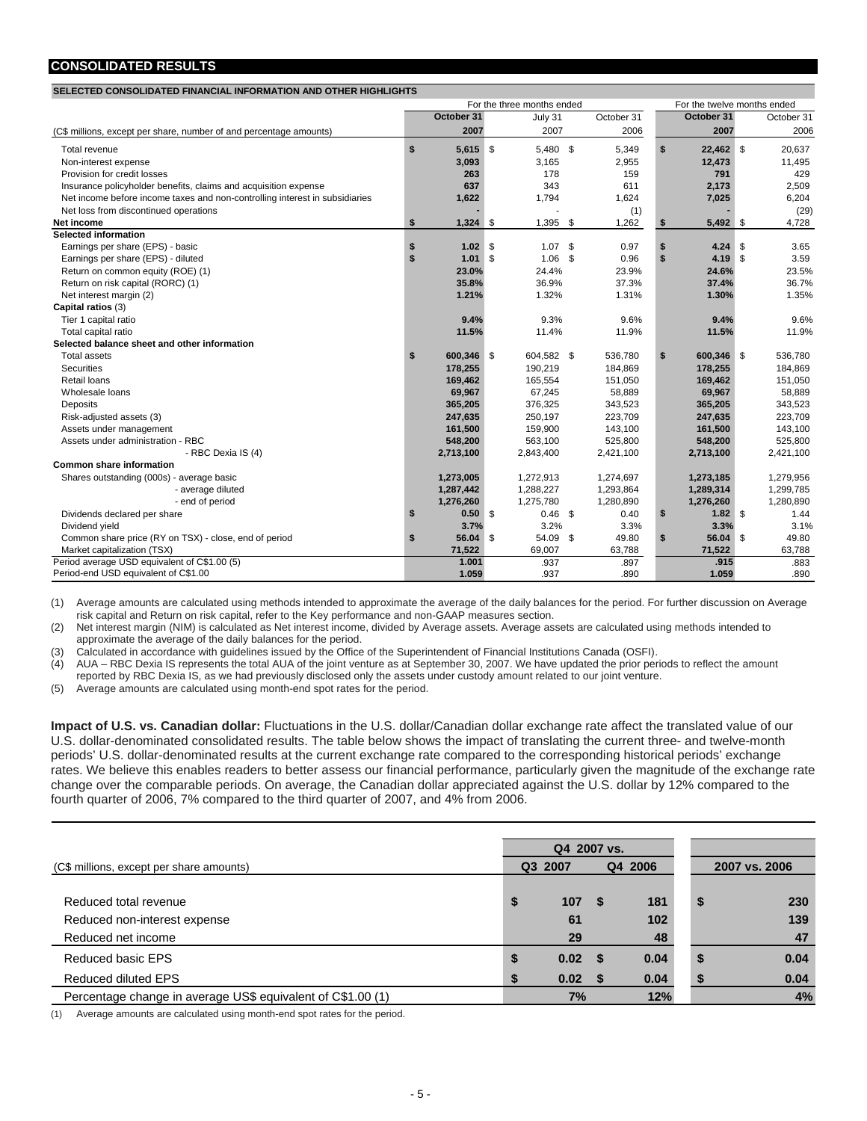## **CONSOLIDATED RESULTS**

## **SELECTED CONSOLIDATED FINANCIAL INFORMATION AND OTHER HIGHLIGHTS**

|                                                                             | For the three months ended |            |    |            |     |            | For the twelve months ended |            |      |            |
|-----------------------------------------------------------------------------|----------------------------|------------|----|------------|-----|------------|-----------------------------|------------|------|------------|
|                                                                             |                            | October 31 |    | July 31    |     | October 31 |                             | October 31 |      | October 31 |
| (C\$ millions, except per share, number of and percentage amounts)          |                            | 2007       |    | 2007       |     | 2006       |                             | 2007       |      | 2006       |
| Total revenue                                                               | \$                         | $5,615$ \$ |    | 5,480 \$   |     | 5,349      | \$                          | 22,462 \$  |      | 20,637     |
| Non-interest expense                                                        |                            | 3,093      |    | 3,165      |     | 2,955      |                             | 12,473     |      | 11,495     |
| Provision for credit losses                                                 |                            | 263        |    | 178        |     | 159        |                             | 791        |      | 429        |
| Insurance policyholder benefits, claims and acquisition expense             |                            | 637        |    | 343        |     | 611        |                             | 2,173      |      | 2,509      |
| Net income before income taxes and non-controlling interest in subsidiaries |                            | 1,622      |    | 1,794      |     | 1,624      |                             | 7,025      |      | 6,204      |
| Net loss from discontinued operations                                       |                            |            |    |            |     | (1)        |                             |            |      | (29)       |
| Net income                                                                  |                            | $1,324$ \$ |    | 1,395      | -\$ | 1,262      | <b>S</b>                    | 5,492 \$   |      | 4,728      |
| <b>Selected information</b>                                                 |                            |            |    |            |     |            |                             |            |      |            |
| Earnings per share (EPS) - basic                                            | \$                         | 1.02       | \$ | $1.07$ \$  |     | 0.97       | \$                          | 4.24       | - \$ | 3.65       |
| Earnings per share (EPS) - diluted                                          | \$                         | 1.01       | \$ | $1.06$ \$  |     | 0.96       | $\mathbf{s}$                | $4.19$ \$  |      | 3.59       |
| Return on common equity (ROE) (1)                                           |                            | 23.0%      |    | 24.4%      |     | 23.9%      |                             | 24.6%      |      | 23.5%      |
| Return on risk capital (RORC) (1)                                           |                            | 35.8%      |    | 36.9%      |     | 37.3%      |                             | 37.4%      |      | 36.7%      |
| Net interest margin (2)                                                     |                            | 1.21%      |    | 1.32%      |     | 1.31%      |                             | 1.30%      |      | 1.35%      |
| Capital ratios (3)                                                          |                            |            |    |            |     |            |                             |            |      |            |
| Tier 1 capital ratio                                                        |                            | 9.4%       |    | 9.3%       |     | 9.6%       |                             | 9.4%       |      | 9.6%       |
| Total capital ratio                                                         |                            | 11.5%      |    | 11.4%      |     | 11.9%      |                             | 11.5%      |      | 11.9%      |
| Selected balance sheet and other information                                |                            |            |    |            |     |            |                             |            |      |            |
| <b>Total assets</b>                                                         | \$                         | 600,346 \$ |    | 604,582 \$ |     | 536,780    | \$                          | 600,346 \$ |      | 536,780    |
| <b>Securities</b>                                                           |                            | 178,255    |    | 190,219    |     | 184,869    |                             | 178,255    |      | 184,869    |
| Retail loans                                                                |                            | 169,462    |    | 165.554    |     | 151,050    |                             | 169,462    |      | 151,050    |
| Wholesale loans                                                             |                            | 69.967     |    | 67,245     |     | 58,889     |                             | 69,967     |      | 58,889     |
| Deposits                                                                    |                            | 365,205    |    | 376,325    |     | 343,523    |                             | 365,205    |      | 343,523    |
| Risk-adjusted assets (3)                                                    |                            | 247,635    |    | 250,197    |     | 223,709    |                             | 247,635    |      | 223,709    |
| Assets under management                                                     |                            | 161,500    |    | 159,900    |     | 143,100    |                             | 161,500    |      | 143,100    |
| Assets under administration - RBC                                           |                            | 548,200    |    | 563,100    |     | 525,800    |                             | 548,200    |      | 525,800    |
| - RBC Dexia IS (4)                                                          |                            | 2,713,100  |    | 2,843,400  |     | 2,421,100  |                             | 2,713,100  |      | 2,421,100  |
| <b>Common share information</b>                                             |                            |            |    |            |     |            |                             |            |      |            |
| Shares outstanding (000s) - average basic                                   |                            | 1,273,005  |    | 1,272,913  |     | 1,274,697  |                             | 1,273,185  |      | 1,279,956  |
| - average diluted                                                           |                            | 1,287,442  |    | 1,288,227  |     | 1,293,864  |                             | 1,289,314  |      | 1,299,785  |
| - end of period                                                             |                            | 1,276,260  |    | 1,275,780  |     | 1,280,890  |                             | 1,276,260  |      | 1,280,890  |
| Dividends declared per share                                                | \$                         | $0.50$ \$  |    | $0.46$ \$  |     | 0.40       | \$                          | $1.82$ \$  |      | 1.44       |
| Dividend yield                                                              |                            | 3.7%       |    | 3.2%       |     | 3.3%       |                             | 3.3%       |      | 3.1%       |
| Common share price (RY on TSX) - close, end of period                       | S.                         | 56.04 \$   |    | 54.09 \$   |     | 49.80      | \$                          | 56.04 \$   |      | 49.80      |
| Market capitalization (TSX)                                                 |                            | 71,522     |    | 69,007     |     | 63,788     |                             | 71,522     |      | 63,788     |
| Period average USD equivalent of C\$1.00 (5)                                |                            | 1.001      |    | .937       |     | .897       |                             | .915       |      | .883       |
| Period-end USD equivalent of C\$1.00                                        |                            | 1.059      |    | .937       |     | .890       |                             | 1.059      |      | .890       |

(1) Average amounts are calculated using methods intended to approximate the average of the daily balances for the period. For further discussion on Average risk capital and Return on risk capital, refer to the Key performance and non-GAAP measures section.

(2) Net interest margin (NIM) is calculated as Net interest income, divided by Average assets. Average assets are calculated using methods intended to approximate the average of the daily balances for the period.

(3) Calculated in accordance with guidelines issued by the Office of the Superintendent of Financial Institutions Canada (OSFI).

 $\overline{(4)}$  AUA – RBC Dexia IS represents the total AUA of the joint venture as at September 30, 2007. We have updated the prior periods to reflect the amount

reported by RBC Dexia IS, as we had previously disclosed only the assets under custody amount related to our joint venture.

(5) Average amounts are calculated using month-end spot rates for the period.

**Impact of U.S. vs. Canadian dollar:** Fluctuations in the U.S. dollar/Canadian dollar exchange rate affect the translated value of our U.S. dollar-denominated consolidated results. The table below shows the impact of translating the current three- and twelve-month periods' U.S. dollar-denominated results at the current exchange rate compared to the corresponding historical periods' exchange rates. We believe this enables readers to better assess our financial performance, particularly given the magnitude of the exchange rate change over the comparable periods. On average, the Canadian dollar appreciated against the U.S. dollar by 12% compared to the fourth quarter of 2006, 7% compared to the third quarter of 2007, and 4% from 2006.

|                                                             |    | Q4 2007 vs. |     |      |         |          |  |               |  |
|-------------------------------------------------------------|----|-------------|-----|------|---------|----------|--|---------------|--|
| (C\$ millions, except per share amounts)                    |    | Q3 2007     |     |      | Q4 2006 |          |  | 2007 vs. 2006 |  |
|                                                             |    |             |     |      |         |          |  |               |  |
| Reduced total revenue                                       | \$ | 107         |     | 181  |         | 230<br>S |  |               |  |
| Reduced non-interest expense                                |    | 61          |     | 102  |         | 139      |  |               |  |
| Reduced net income                                          |    | 29          |     | 48   |         | 47       |  |               |  |
| Reduced basic EPS                                           |    | 0.02        |     | 0.04 |         | 0.04     |  |               |  |
| Reduced diluted EPS                                         |    | 0.02        | - 5 | 0.04 |         | 0.04     |  |               |  |
| Percentage change in average US\$ equivalent of C\$1.00 (1) |    | 7%          |     | 12%  |         | 4%       |  |               |  |

(1) Average amounts are calculated using month-end spot rates for the period.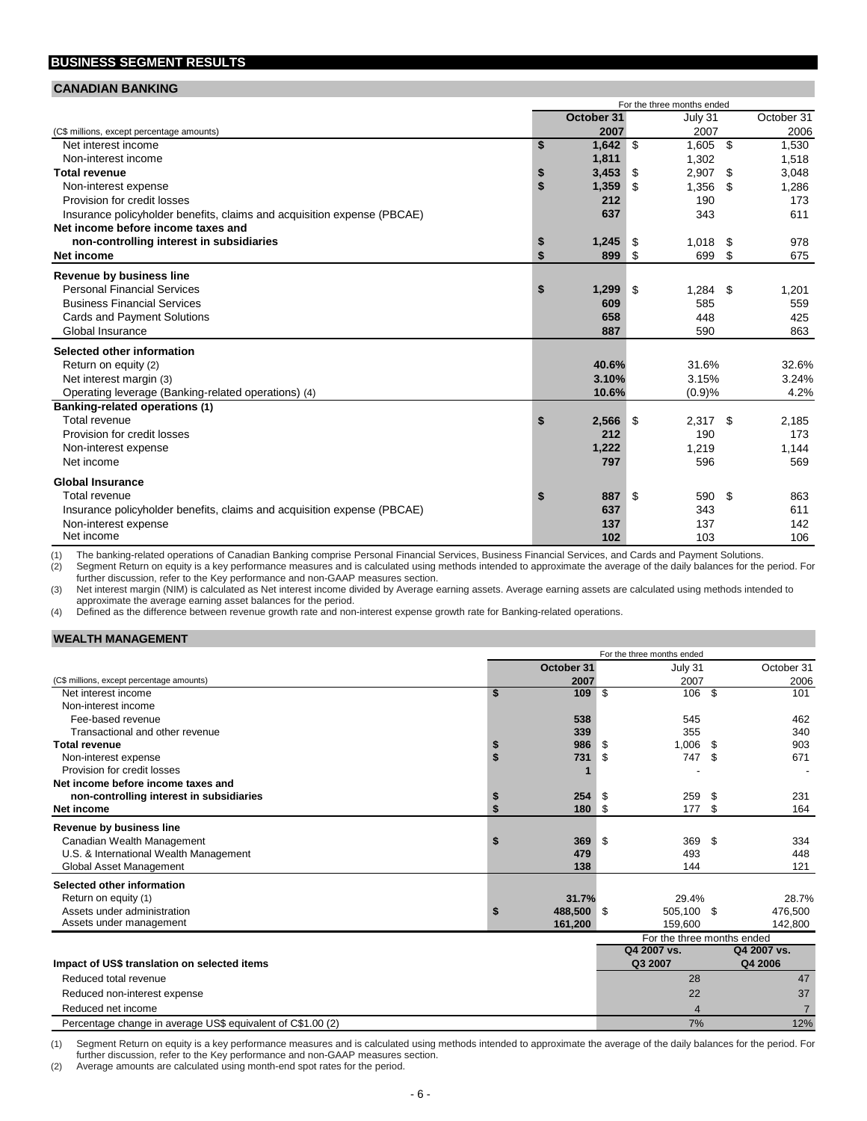## **BUSINESS SEGMENT RESULTS**

#### **CANADIAN BANKING**

|                                                                         | For the three months ended |             |                    |  |  |
|-------------------------------------------------------------------------|----------------------------|-------------|--------------------|--|--|
|                                                                         | October 31                 | July 31     | October 31         |  |  |
| (C\$ millions, except percentage amounts)                               | 2007                       | 2007        | 2006               |  |  |
| Net interest income                                                     | 1,642<br>\$                | \$<br>1.605 | \$<br>1,530        |  |  |
| Non-interest income                                                     | 1,811                      | 1,302       | 1,518              |  |  |
| <b>Total revenue</b>                                                    | 3,453<br>\$                | 2,907<br>\$ | \$<br>3,048        |  |  |
| Non-interest expense                                                    | \$<br>1,359                | 1,356<br>\$ | 1,286<br>\$        |  |  |
| Provision for credit losses                                             | 212                        | 190         | 173                |  |  |
| Insurance policyholder benefits, claims and acquisition expense (PBCAE) | 637                        | 343         | 611                |  |  |
| Net income before income taxes and                                      |                            |             |                    |  |  |
| non-controlling interest in subsidiaries                                | 1,245<br>\$                | 1,018<br>\$ | \$<br>978          |  |  |
| Net income                                                              | \$<br>899                  | 699<br>-\$  | \$<br>675          |  |  |
| Revenue by business line                                                |                            |             |                    |  |  |
| <b>Personal Financial Services</b>                                      | \$<br>1,299                | 1,284<br>\$ | \$<br>1,201        |  |  |
| <b>Business Financial Services</b>                                      | 609                        | 585         | 559                |  |  |
| <b>Cards and Payment Solutions</b>                                      | 658                        | 448         | 425                |  |  |
| Global Insurance                                                        | 887                        | 590         | 863                |  |  |
|                                                                         |                            |             |                    |  |  |
| Selected other information                                              |                            |             |                    |  |  |
| Return on equity (2)                                                    | 40.6%                      | 31.6%       | 32.6%              |  |  |
| Net interest margin (3)                                                 | 3.10%                      | 3.15%       | 3.24%              |  |  |
| Operating leverage (Banking-related operations) (4)                     | 10.6%                      | (0.9)%      | 4.2%               |  |  |
| <b>Banking-related operations (1)</b><br>Total revenue                  |                            | 2,317       |                    |  |  |
| Provision for credit losses                                             | \$<br>2,566<br>212         | -\$<br>190  | \$<br>2,185<br>173 |  |  |
|                                                                         |                            | 1.219       |                    |  |  |
| Non-interest expense<br>Net income                                      | 1,222<br>797               | 596         | 1,144<br>569       |  |  |
|                                                                         |                            |             |                    |  |  |
| <b>Global Insurance</b>                                                 |                            |             |                    |  |  |
| Total revenue                                                           | \$<br>887                  | \$<br>590   | \$<br>863          |  |  |
| Insurance policyholder benefits, claims and acquisition expense (PBCAE) | 637                        | 343         | 611                |  |  |
| Non-interest expense                                                    | 137                        | 137         | 142                |  |  |
| Net income                                                              | 102                        | 103         | 106                |  |  |

(1) The banking-related operations of Canadian Banking comprise Personal Financial Services, Business Financial Services, and Cards and Payment Solutions.<br>(2) Segment Return on equity is a key performance measures and is c Segment Return on equity is a key performance measures and is calculated using methods intended to approximate the average of the daily balances for the period. For further discussion, refer to the Key performance and non-GAAP measures section.

(3) Net interest margin (NIM) is calculated as Net interest income divided by Average earning assets. Average earning assets are calculated using methods intended to approximate the average earning asset balances for the period.

(4) Defined as the difference between revenue growth rate and non-interest expense growth rate for Banking-related operations.

#### **WEALTH MANAGEMENT**

|                                              | For the three months ended |                            |                |  |  |  |  |
|----------------------------------------------|----------------------------|----------------------------|----------------|--|--|--|--|
|                                              | October 31                 | July 31                    | October 31     |  |  |  |  |
| (C\$ millions, except percentage amounts)    | 2007                       | 2007                       | 2006           |  |  |  |  |
| Net interest income                          | \$<br>109 \$               | 106 \$                     | 101            |  |  |  |  |
| Non-interest income                          |                            |                            |                |  |  |  |  |
| Fee-based revenue                            | 538                        | 545                        | 462            |  |  |  |  |
| Transactional and other revenue              | 339                        | 355                        | 340            |  |  |  |  |
| <b>Total revenue</b>                         | \$<br>986                  | 1,006<br>-S                | 903<br>S       |  |  |  |  |
| Non-interest expense                         | \$<br>731                  | 747<br>-\$                 | 671<br>-S      |  |  |  |  |
| Provision for credit losses                  |                            |                            |                |  |  |  |  |
| Net income before income taxes and           |                            |                            |                |  |  |  |  |
| non-controlling interest in subsidiaries     | \$<br>254                  | 259<br>-\$                 | 231<br>- \$    |  |  |  |  |
| Net income                                   | \$<br>180 \$               | 177                        | 164<br>\$      |  |  |  |  |
| Revenue by business line                     |                            |                            |                |  |  |  |  |
| Canadian Wealth Management                   | \$<br>369 \$               | 369 \$                     | 334            |  |  |  |  |
| U.S. & International Wealth Management       | 479                        | 493                        | 448            |  |  |  |  |
| Global Asset Management                      | 138                        | 144                        | 121            |  |  |  |  |
| Selected other information                   |                            |                            |                |  |  |  |  |
| Return on equity (1)                         | 31.7%                      | 29.4%                      | 28.7%          |  |  |  |  |
| Assets under administration                  | \$<br>488,500 \$           | 505,100 \$                 | 476,500        |  |  |  |  |
| Assets under management                      | 161,200                    | 159.600                    | 142,800        |  |  |  |  |
|                                              |                            | For the three months ended |                |  |  |  |  |
|                                              |                            | Q4 2007 vs.                | Q4 2007 vs.    |  |  |  |  |
| Impact of US\$ translation on selected items |                            | Q3 2007                    | Q4 2006        |  |  |  |  |
| Reduced total revenue                        |                            | 28                         | 47             |  |  |  |  |
| Reduced non-interest expense                 |                            | 22                         | 37             |  |  |  |  |
| Reduced net income                           |                            | 4                          | $\overline{7}$ |  |  |  |  |

(1) Segment Return on equity is a key performance measures and is calculated using methods intended to approximate the average of the daily balances for the period. For further discussion, refer to the Key performance and non-GAAP measures section.

Percentage change in average US\$ equivalent of C\$1.00 (2) 7% 12%

(2) Average amounts are calculated using month-end spot rates for the period.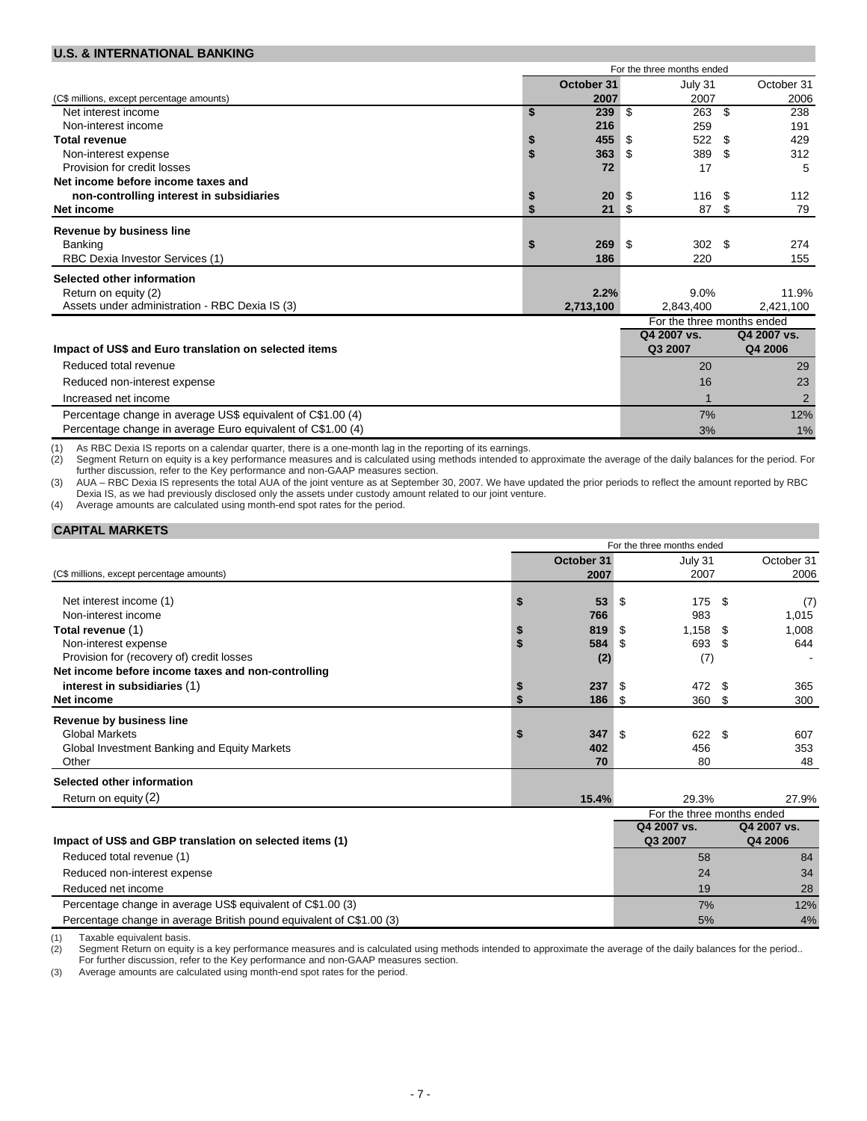#### **U.S. & INTERNATIONAL BANKING**

|                                                             |                            | For the three months ended |                  |     |                |  |
|-------------------------------------------------------------|----------------------------|----------------------------|------------------|-----|----------------|--|
|                                                             | October 31                 |                            | July 31          |     | October 31     |  |
| (C\$ millions, except percentage amounts)                   | 2007                       |                            | 2007             |     | 2006           |  |
| Net interest income                                         | \$<br>239                  | \$                         | 263              | \$  | 238            |  |
| Non-interest income                                         | 216                        |                            | 259              |     | 191            |  |
| <b>Total revenue</b>                                        | \$<br>455                  | - \$                       | 522              | \$  | 429            |  |
| Non-interest expense                                        | \$<br>363                  | S                          | 389              | \$  | 312            |  |
| Provision for credit losses                                 | 72                         |                            | 17               |     | 5              |  |
| Net income before income taxes and                          |                            |                            |                  |     |                |  |
| non-controlling interest in subsidiaries                    | \$<br>20                   | \$                         | 116              | -\$ | 112            |  |
| Net income                                                  | \$<br>21                   | - \$                       | 87               | S   | 79             |  |
| <b>Revenue by business line</b>                             |                            |                            |                  |     |                |  |
| Banking                                                     | \$<br>269                  | \$                         | 302 <sup>5</sup> |     | 274            |  |
| RBC Dexia Investor Services (1)                             | 186                        |                            | 220              |     | 155            |  |
| Selected other information                                  |                            |                            |                  |     |                |  |
| Return on equity (2)                                        | 2.2%                       |                            | 9.0%             |     | 11.9%          |  |
| Assets under administration - RBC Dexia IS (3)              | 2,713,100                  |                            | 2,843,400        |     | 2,421,100      |  |
|                                                             | For the three months ended |                            |                  |     |                |  |
|                                                             |                            |                            | Q4 2007 vs.      |     | Q4 2007 vs.    |  |
| Impact of US\$ and Euro translation on selected items       |                            |                            | Q3 2007          |     | Q4 2006        |  |
| Reduced total revenue                                       |                            |                            | 20               |     | 29             |  |
| Reduced non-interest expense                                |                            |                            | 16               |     | 23             |  |
| Increased net income                                        |                            |                            |                  |     | $\overline{2}$ |  |
| Percentage change in average US\$ equivalent of C\$1.00 (4) |                            |                            | 7%               |     | 12%            |  |
| Percentage change in average Euro equivalent of C\$1.00 (4) |                            |                            | 3%               |     | 1%             |  |

(1) As RBC Dexia IS reports on a calendar quarter, there is a one-month lag in the reporting of its earnings. Segment Return on equity is a key performance measures and is calculated using methods intended to approximate the average of the daily balances for the period. For further discussion, refer to the Key performance and non-GAAP measures section.

(3) AUA – RBC Dexia IS represents the total AUA of the joint venture as at September 30, 2007. We have updated the prior periods to reflect the amount reported by RBC Dexia IS, as we had previously disclosed only the assets under custody amount related to our joint venture.

(4) Average amounts are calculated using month-end spot rates for the period.

| <b>CAPITAL MARKETS</b> |
|------------------------|
|------------------------|

|                                                          | For the three months ended |            |      |                            |      |             |
|----------------------------------------------------------|----------------------------|------------|------|----------------------------|------|-------------|
|                                                          |                            | October 31 |      | July 31                    |      | October 31  |
| (C\$ millions, except percentage amounts)                |                            | 2007       |      | 2007                       |      | 2006        |
|                                                          |                            |            |      |                            |      |             |
| Net interest income (1)<br>Non-interest income           |                            | 53         | -\$  | 175                        | - \$ | (7)         |
|                                                          |                            | 766        |      | 983                        |      | 1,015       |
| Total revenue (1)                                        |                            | 819        | - \$ | 1,158                      | - \$ | 1,008       |
| Non-interest expense                                     |                            | 584        | - \$ | 693 \$                     |      | 644         |
| Provision for (recovery of) credit losses                |                            | (2)        |      | (7)                        |      |             |
| Net income before income taxes and non-controlling       |                            |            |      |                            |      |             |
| interest in subsidiaries (1)                             |                            | 237        | - \$ | 472                        | -S   | 365         |
| Net income                                               |                            | $186$ \$   |      | 360 \$                     |      | 300         |
| Revenue by business line                                 |                            |            |      |                            |      |             |
| <b>Global Markets</b>                                    |                            | 347        | -\$  | 622 \$                     |      | 607         |
| Global Investment Banking and Equity Markets             |                            | 402        |      | 456                        |      | 353         |
| Other                                                    |                            | 70         |      | 80                         |      | 48          |
| Selected other information                               |                            |            |      |                            |      |             |
| Return on equity (2)                                     |                            | 15.4%      |      | 29.3%                      |      | 27.9%       |
|                                                          |                            |            |      | For the three months ended |      |             |
|                                                          |                            |            |      | Q4 2007 vs.                |      | Q4 2007 vs. |
| Impact of US\$ and GBP translation on selected items (1) |                            |            |      | Q3 2007                    |      | Q4 2006     |
| Reduced total revenue (1)                                |                            |            |      | 58                         |      | 84          |
| Reduced non-interest expense                             |                            |            |      | 24                         |      | 34          |

| Reduced net income                                                   |    | 28  |
|----------------------------------------------------------------------|----|-----|
| Percentage change in average US\$ equivalent of C\$1.00 (3)          | 7% | 12% |
| Percentage change in average British pound equivalent of C\$1.00 (3) | 5% | 4%  |
|                                                                      |    |     |

(1) Taxable equivalent basis.<br>(2) Segment Return on equity

Segment Return on equity is a key performance measures and is calculated using methods intended to approximate the average of the daily balances for the period.. For further discussion, refer to the Key performance and non-GAAP measures section.

(3) Average amounts are calculated using month-end spot rates for the period.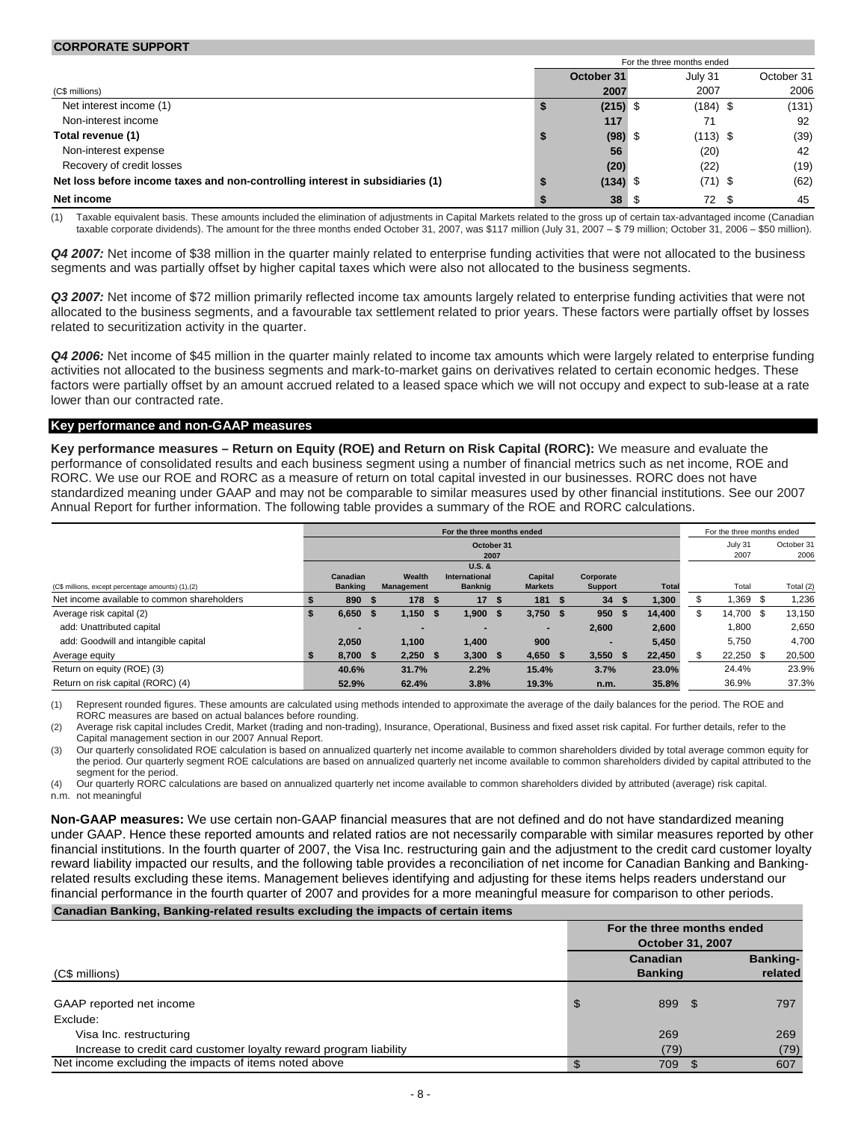|                                                                               | For the three months ended |            |            |  |            |  |
|-------------------------------------------------------------------------------|----------------------------|------------|------------|--|------------|--|
|                                                                               |                            | October 31 | July 31    |  | October 31 |  |
| (C\$ millions)                                                                |                            | 2007       | 2007       |  | 2006       |  |
| Net interest income (1)                                                       |                            | $(215)$ \$ | $(184)$ \$ |  | (131)      |  |
| Non-interest income                                                           |                            | 117        | 71         |  | 92         |  |
| Total revenue (1)                                                             | \$                         | $(98)$ \$  | $(113)$ \$ |  | (39)       |  |
| Non-interest expense                                                          |                            | 56         | (20)       |  | 42         |  |
| Recovery of credit losses                                                     |                            | (20)       | (22)       |  | (19)       |  |
| Net loss before income taxes and non-controlling interest in subsidiaries (1) |                            | $(134)$ \$ | $(71)$ \$  |  | (62)       |  |
| Net income                                                                    |                            | 38         | 72 \$      |  | 45         |  |

(1) Taxable equivalent basis. These amounts included the elimination of adjustments in Capital Markets related to the gross up of certain tax-advantaged income (Canadian taxable corporate dividends). The amount for the three months ended October 31, 2007, was \$117 million (July 31, 2007 – \$ 79 million; October 31, 2006 – \$50 million).

*Q4 2007:* Net income of \$38 million in the quarter mainly related to enterprise funding activities that were not allocated to the business segments and was partially offset by higher capital taxes which were also not allocated to the business segments.

*Q3 2007:* Net income of \$72 million primarily reflected income tax amounts largely related to enterprise funding activities that were not allocated to the business segments, and a favourable tax settlement related to prior years. These factors were partially offset by losses related to securitization activity in the quarter.

*Q4 2006:* Net income of \$45 million in the quarter mainly related to income tax amounts which were largely related to enterprise funding activities not allocated to the business segments and mark-to-market gains on derivatives related to certain economic hedges. These factors were partially offset by an amount accrued related to a leased space which we will not occupy and expect to sub-lease at a rate lower than our contracted rate.

#### **Key performance and non-GAAP measures**

**CORPORATE SUPPORT**

**Key performance measures – Return on Equity (ROE) and Return on Risk Capital (RORC):** We measure and evaluate the performance of consolidated results and each business segment using a number of financial metrics such as net income, ROE and RORC. We use our ROE and RORC as a measure of return on total capital invested in our businesses. RORC does not have standardized meaning under GAAP and may not be comparable to similar measures used by other financial institutions. See our 2007 Annual Report for further information. The following table provides a summary of the ROE and RORC calculations.

|                                                    | For the three months ended |                 |      |                |  |                |      | For the three months ended |                          |   |              |    |             |  |           |
|----------------------------------------------------|----------------------------|-----------------|------|----------------|--|----------------|------|----------------------------|--------------------------|---|--------------|----|-------------|--|-----------|
|                                                    |                            | October 31      |      |                |  |                |      |                            | July 31                  |   | October 31   |    |             |  |           |
|                                                    |                            |                 |      |                |  | $U.S.$ &       | 2007 |                            |                          |   |              |    | 2007        |  | 2006      |
|                                                    |                            | <b>Canadian</b> |      | Wealth         |  | International  |      | Capital                    | Corporate                |   |              |    |             |  |           |
| (C\$ millions, except percentage amounts) (1), (2) |                            | <b>Banking</b>  |      | Management     |  | <b>Banknig</b> |      | <b>Markets</b>             | <b>Support</b>           |   | <b>Total</b> |    | Total       |  | Total (2) |
| Net income available to common shareholders        |                            | 890             | - 55 | 178S           |  | 17S            |      | 181S                       | 34                       |   | 1,300        |    | .369        |  | 1,236     |
| Average risk capital (2)                           |                            | 6,650           | - 5  | $1,150$ \$     |  | $1,900$ \$     |      | $3,750$ \$                 | 950                      | ъ | 14,400       | \$ | 14,700 \$   |  | 13,150    |
| add: Unattributed capital                          |                            | -               |      | $\blacksquare$ |  | $\blacksquare$ |      | $\overline{\phantom{a}}$   | 2.600                    |   | 2.600        |    | 1,800       |  | 2,650     |
| add: Goodwill and intangible capital               |                            | 2.050           |      | 1,100          |  | 1,400          |      | 900                        | $\overline{\phantom{a}}$ |   | 5.450        |    | 5,750       |  | 4,700     |
| Average equity                                     |                            | 8.700 \$        |      | $2.250$ \$     |  | 3.300 S        |      | 4.650 S                    | $3.550$ \$               |   | 22.450       |    | $22,250$ \$ |  | 20,500    |
| Return on equity (ROE) (3)                         |                            | 40.6%           |      | 31.7%          |  | 2.2%           |      | 15.4%                      | 3.7%                     |   | 23.0%        |    | 24.4%       |  | 23.9%     |
| Return on risk capital (RORC) (4)                  |                            | 52.9%           |      | 62.4%          |  | 3.8%           |      | 19.3%                      | n.m.                     |   | 35.8%        |    | 36.9%       |  | 37.3%     |

(1) Represent rounded figures. These amounts are calculated using methods intended to approximate the average of the daily balances for the period. The ROE and RORC measures are based on actual balances before rounding.

(2) Average risk capital includes Credit, Market (trading and non-trading), Insurance, Operational, Business and fixed asset risk capital. For further details, refer to the Capital management section in our 2007 Annual Report.

(3) Our quarterly consolidated ROE calculation is based on annualized quarterly net income available to common shareholders divided by total average common equity for the period. Our quarterly segment ROE calculations are based on annualized quarterly net income available to common shareholders divided by capital attributed to the segment for the period.

(4) Our quarterly RORC calculations are based on annualized quarterly net income available to common shareholders divided by attributed (average) risk capital. n.m. not meaningful

**Non-GAAP measures:** We use certain non-GAAP financial measures that are not defined and do not have standardized meaning under GAAP. Hence these reported amounts and related ratios are not necessarily comparable with similar measures reported by other financial institutions. In the fourth quarter of 2007, the Visa Inc. restructuring gain and the adjustment to the credit card customer loyalty reward liability impacted our results, and the following table provides a reconciliation of net income for Canadian Banking and Bankingrelated results excluding these items. Management believes identifying and adjusting for these items helps readers understand our financial performance in the fourth quarter of 2007 and provides for a more meaningful measure for comparison to other periods. **Canadian Banking, Banking-related results excluding the impacts of certain items**

| For the three months ended<br><b>October 31, 2007</b> |             |                            |  |  |
|-------------------------------------------------------|-------------|----------------------------|--|--|
| <b>Canadian</b><br><b>Banking</b>                     |             | <b>Banking-</b><br>related |  |  |
| \$                                                    |             | 797                        |  |  |
| 269                                                   |             | 269                        |  |  |
|                                                       |             | (79)<br>607                |  |  |
| \$                                                    | (79)<br>709 | 899 \$                     |  |  |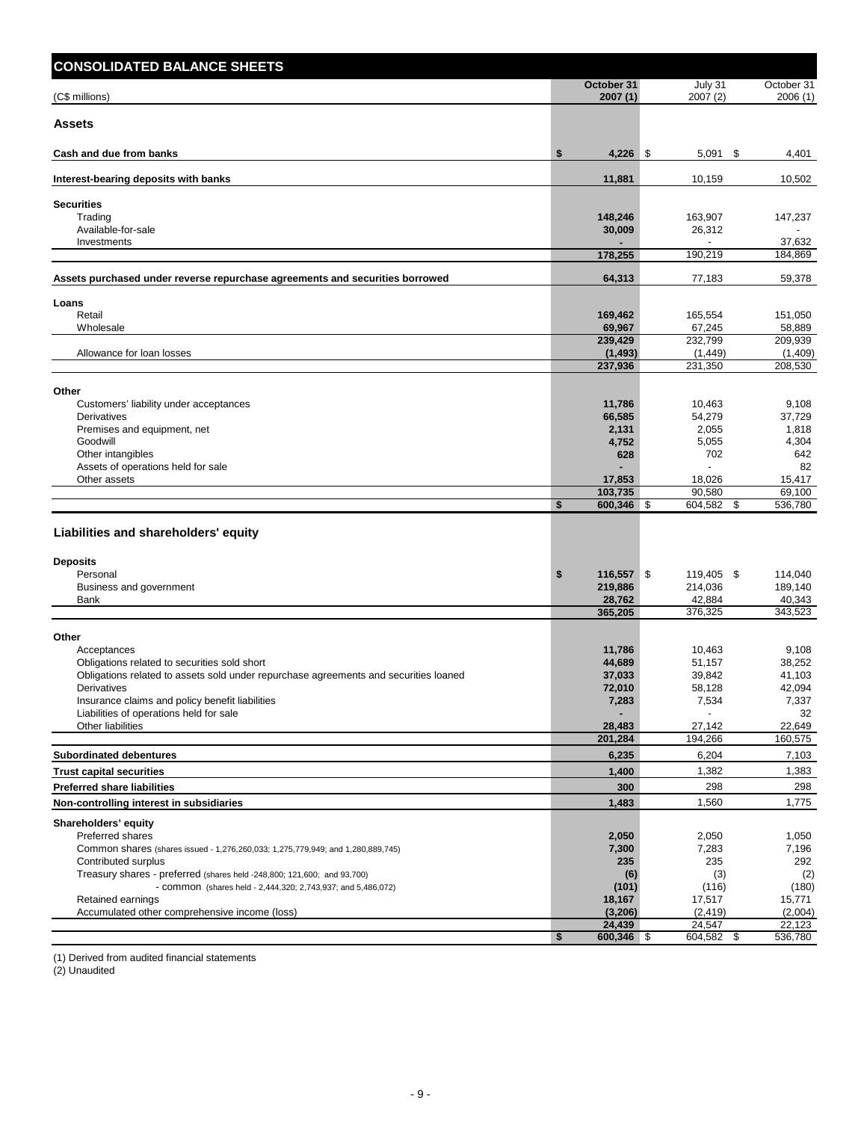| <b>CONSOLIDATED BALANCE SHEETS</b>                                                                     |                          |                         |                         |
|--------------------------------------------------------------------------------------------------------|--------------------------|-------------------------|-------------------------|
| (C\$ millions)                                                                                         | October 31<br>2007 (1)   | July 31<br>2007(2)      | October 31<br>2006(1)   |
| <b>Assets</b>                                                                                          |                          |                         |                         |
| Cash and due from banks                                                                                | $4,226$ \$<br>\$         | $5,091$ \$              | 4,401                   |
| Interest-bearing deposits with banks                                                                   | 11,881                   | 10,159                  | 10,502                  |
| <b>Securities</b>                                                                                      |                          |                         |                         |
| Trading<br>Available-for-sale                                                                          | 148,246                  | 163,907                 | 147,237                 |
| Investments                                                                                            | 30,009                   | 26,312                  | 37,632                  |
|                                                                                                        | 178,255                  | 190,219                 | 184,869                 |
| Assets purchased under reverse repurchase agreements and securities borrowed                           | 64,313                   | 77,183                  | 59,378                  |
| Loans                                                                                                  |                          |                         |                         |
| Retail                                                                                                 | 169,462                  | 165,554                 | 151,050                 |
| Wholesale                                                                                              | 69,967<br>239,429        | 67,245<br>232,799       | 58,889<br>209,939       |
| Allowance for loan losses                                                                              | (1, 493)                 | (1, 449)                | (1,409)                 |
|                                                                                                        | 237,936                  | 231,350                 | 208,530                 |
| Other                                                                                                  |                          |                         |                         |
| Customers' liability under acceptances                                                                 | 11,786                   | 10,463                  | 9,108                   |
| Derivatives                                                                                            | 66,585                   | 54,279                  | 37,729                  |
| Premises and equipment, net<br>Goodwill                                                                | 2,131<br>4,752           | 2,055<br>5,055          | 1,818<br>4,304          |
| Other intangibles                                                                                      | 628                      | 702                     | 642                     |
| Assets of operations held for sale                                                                     |                          |                         | 82                      |
| Other assets                                                                                           | 17,853                   | 18,026                  | 15,417                  |
|                                                                                                        | 103,735<br>600,346<br>\$ | 90,580<br>\$<br>604,582 | 69,100<br>\$<br>536,780 |
|                                                                                                        |                          |                         |                         |
| Liabilities and shareholders' equity                                                                   |                          |                         |                         |
| <b>Deposits</b>                                                                                        |                          |                         |                         |
| Personal                                                                                               | \$<br>116,557 \$         | 119,405 \$              | 114,040                 |
| Business and government                                                                                | 219,886                  | 214,036                 | 189,140                 |
| Bank                                                                                                   | 28,762<br>365,205        | 42,884<br>376,325       | 40,343<br>343,523       |
|                                                                                                        |                          |                         |                         |
| Other<br>Acceptances                                                                                   | 11,786                   | 10,463                  | 9,108                   |
| Obligations related to securities sold short                                                           | 44,689                   | 51,157                  | 38,252                  |
| Obligations related to assets sold under repurchase agreements and securities loaned                   | 37,033                   | 39,842                  | 41,103                  |
| Derivatives                                                                                            | 72,010                   | 58,128                  | 42.094                  |
| Insurance claims and policy benefit liabilities                                                        | 7,283                    | 7,534                   | 7,337                   |
| Liabilities of operations held for sale<br>Other liabilities                                           | 28,483                   | 27,142                  | 32<br>22,649            |
|                                                                                                        | 201,284                  | 194,266                 | 160,575                 |
| <b>Subordinated debentures</b>                                                                         | 6,235                    | 6,204                   | 7,103                   |
| <b>Trust capital securities</b>                                                                        | 1,400                    | 1,382                   | 1,383                   |
| <b>Preferred share liabilities</b>                                                                     | 300                      | 298                     | 298                     |
| Non-controlling interest in subsidiaries                                                               | 1,483                    | 1,560                   | 1,775                   |
| Shareholders' equity                                                                                   |                          |                         |                         |
| Preferred shares                                                                                       | 2,050                    | 2,050                   | 1,050                   |
| Common shares (shares issued - 1,276,260,033; 1,275,779,949; and 1,280,889,745)<br>Contributed surplus | 7,300<br>235             | 7,283<br>235            | 7,196<br>292            |
| Treasury shares - preferred (shares held -248,800; 121,600; and 93,700)                                | (6)                      | (3)                     | (2)                     |
| - COMMON (shares held - 2,444,320; 2,743,937; and 5,486,072)                                           | (101)                    | (116)                   | (180)                   |
| Retained earnings                                                                                      | 18,167                   | 17,517                  | 15,771                  |
| Accumulated other comprehensive income (loss)                                                          | (3,206)<br>24,439        | (2, 419)<br>24,547      | (2,004)<br>22,123       |
|                                                                                                        | 600,346 \$<br>\$         | 604,582 \$              | 536,780                 |

(1) Derived from audited financial statements

(2) Unaudited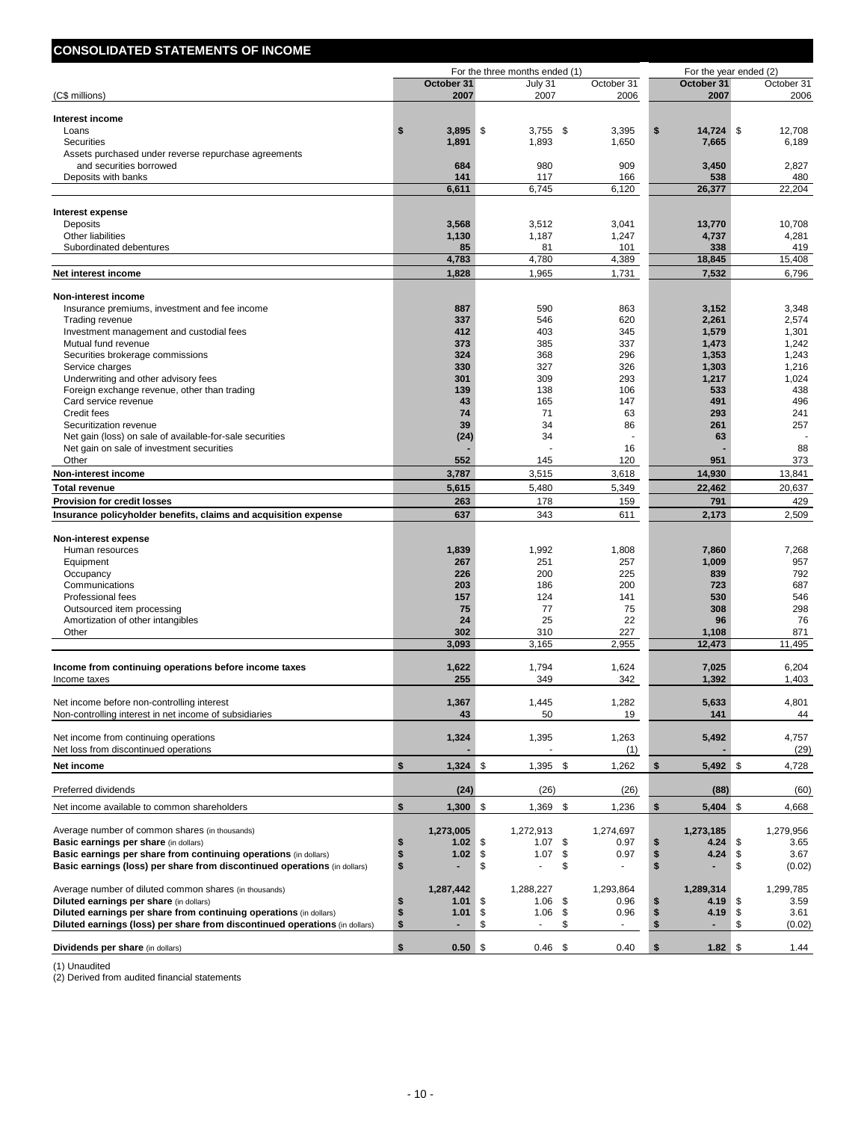| <b>CONSOLIDATED STATEMENTS OF INCOME</b>                                                             |                           |                                |                         |                                    |                         |
|------------------------------------------------------------------------------------------------------|---------------------------|--------------------------------|-------------------------|------------------------------------|-------------------------|
|                                                                                                      |                           | For the three months ended (1) |                         |                                    | For the year ended (2)  |
| (C\$ millions)                                                                                       | October 31<br>2007        | July 31<br>2007                | October 31<br>2006      | October 31<br>2007                 | October 31<br>2006      |
|                                                                                                      |                           |                                |                         |                                    |                         |
| Interest income<br>Loans                                                                             | \$<br>3,895               | \$<br>$3,755$ \$               | 3,395                   | \$<br>14,724                       | \$<br>12,708            |
| <b>Securities</b>                                                                                    | 1,891                     | 1,893                          | 1,650                   | 7,665                              | 6,189                   |
| Assets purchased under reverse repurchase agreements                                                 |                           |                                |                         |                                    |                         |
| and securities borrowed                                                                              | 684                       | 980                            | 909                     | 3,450                              | 2,827                   |
| Deposits with banks                                                                                  | 141<br>6,611              | 117<br>6,745                   | 166<br>6,120            | 538<br>26,377                      | 480<br>22,204           |
|                                                                                                      |                           |                                |                         |                                    |                         |
| <b>Interest expense</b>                                                                              |                           |                                |                         |                                    |                         |
| Deposits<br>Other liabilities                                                                        | 3,568<br>1,130            | 3,512<br>1,187                 | 3,041<br>1,247          | 13,770<br>4,737                    | 10,708<br>4,281         |
| Subordinated debentures                                                                              | 85                        | 81                             | 101                     | 338                                | 419                     |
|                                                                                                      | 4,783                     | 4,780                          | 4,389                   | 18,845                             | 15,408                  |
| Net interest income                                                                                  | 1,828                     | 1,965                          | 1,731                   | 7,532                              | 6,796                   |
| Non-interest income                                                                                  |                           |                                |                         |                                    |                         |
| Insurance premiums, investment and fee income                                                        | 887                       | 590                            | 863                     | 3,152                              | 3,348                   |
| Trading revenue                                                                                      | 337                       | 546                            | 620                     | 2,261                              | 2,574                   |
| Investment management and custodial fees                                                             | 412                       | 403                            | 345                     | 1,579                              | 1,301                   |
| Mutual fund revenue                                                                                  | 373                       | 385                            | 337                     | 1,473                              | 1,242                   |
| Securities brokerage commissions<br>Service charges                                                  | 324<br>330                | 368<br>327                     | 296<br>326              | 1,353<br>1,303                     | 1,243<br>1,216          |
| Underwriting and other advisory fees                                                                 | 301                       | 309                            | 293                     | 1,217                              | 1,024                   |
| Foreign exchange revenue, other than trading                                                         | 139                       | 138                            | 106                     | 533                                | 438                     |
| Card service revenue                                                                                 | 43                        | 165                            | 147                     | 491                                | 496                     |
| Credit fees                                                                                          | 74                        | 71                             | 63                      | 293                                | 241                     |
| Securitization revenue<br>Net gain (loss) on sale of available-for-sale securities                   | 39<br>(24)                | 34<br>34                       | 86                      | 261<br>63                          | 257                     |
| Net gain on sale of investment securities                                                            |                           |                                | 16                      |                                    | 88                      |
| Other                                                                                                | 552                       | 145                            | 120                     | 951                                | 373                     |
| Non-interest income                                                                                  | 3,787                     | 3,515                          | 3,618                   | 14,930                             | 13,841                  |
| <b>Total revenue</b>                                                                                 | 5,615                     | 5,480                          | 5,349                   | 22,462                             | 20,637                  |
| <b>Provision for credit losses</b>                                                                   | 263                       | 178                            | 159                     | 791                                | 429                     |
| Insurance policyholder benefits, claims and acquisition expense                                      | 637                       | 343                            | 611                     | 2,173                              | 2,509                   |
| Non-interest expense                                                                                 |                           |                                |                         |                                    |                         |
| Human resources                                                                                      | 1,839                     | 1,992                          | 1,808                   | 7,860                              | 7,268                   |
| Equipment<br>Occupancy                                                                               | 267<br>226                | 251<br>200                     | 257<br>225              | 1,009<br>839                       | 957<br>792              |
| Communications                                                                                       | 203                       | 186                            | 200                     | 723                                | 687                     |
| <b>Professional fees</b>                                                                             | 157                       | 124                            | 141                     | 530                                | 546                     |
| Outsourced item processing                                                                           | 75                        | 77                             | 75                      | 308                                | 298                     |
| Amortization of other intangibles                                                                    | 24                        | 25                             | 22                      | 96                                 | 76                      |
| Other                                                                                                | 302<br>3,093              | 310<br>3,165                   | 227<br>2,955            | 1,108<br>12,473                    | 871<br>11,495           |
|                                                                                                      |                           |                                |                         |                                    |                         |
| Income from continuing operations before income taxes<br>Income taxes                                | 1,622<br>255              | 1,794<br>349                   | 1,624<br>342            | 7,025<br>1.392                     | 6,204<br>1.403          |
|                                                                                                      |                           |                                |                         |                                    |                         |
| Net income before non-controlling interest<br>Non-controlling interest in net income of subsidiaries | 1,367<br>43               | 1,445<br>50                    | 1,282<br>19             | 5,633<br>141                       | 4,801<br>44             |
|                                                                                                      |                           |                                |                         |                                    |                         |
| Net income from continuing operations                                                                | 1,324                     | 1,395                          | 1,263                   | 5,492                              | 4,757                   |
| Net loss from discontinued operations                                                                |                           |                                | (1)                     |                                    | (29)                    |
| Net income                                                                                           | \$<br>1,324               | \$<br>1,395                    | -\$<br>1,262            | \$<br>5,492 \$                     | 4,728                   |
| Preferred dividends                                                                                  | (24)                      | (26)                           | (26)                    | (88)                               | (60)                    |
| Net income available to common shareholders                                                          | \$<br>1,300               | \$<br>1,369                    | \$<br>1,236             | $\boldsymbol{\mathsf{s}}$<br>5,404 | \$<br>4,668             |
|                                                                                                      |                           |                                |                         |                                    |                         |
| Average number of common shares (in thousands)<br><b>Basic earnings per share (in dollars)</b>       | 1,273,005<br>1.02<br>\$   | 1,272,913<br>\$<br>1.07        | 1,274,697<br>\$<br>0.97 | 1,273,185<br>4.24<br>S             | 1,279,956<br>3.65<br>\$ |
| Basic earnings per share from continuing operations (in dollars)                                     | \$<br>1.02                | \$<br>1.07                     | \$<br>0.97              | \$<br>4.24                         | \$<br>3.67              |
| Basic earnings (loss) per share from discontinued operations (in dollars)                            | \$                        | \$<br>ä,                       | \$                      | \$                                 | \$<br>(0.02)            |
| Average number of diluted common shares (in thousands)                                               | 1,287,442                 | 1,288,227                      | 1,293,864               | 1,289,314                          | 1,299,785               |
| Diluted earnings per share (in dollars)                                                              | \$<br>1.01                | \$<br>1.06                     | \$<br>0.96              | 4.19<br>\$                         | \$<br>3.59              |
| Diluted earnings per share from continuing operations (in dollars)                                   | \$<br>1.01                | \$<br>1.06                     | \$<br>0.96              | \$<br>4.19                         | \$<br>3.61              |
| Diluted earnings (loss) per share from discontinued operations (in dollars)                          | $\mathbf{s}$              | \$                             | \$                      | \$                                 | \$<br>(0.02)            |
| Dividends per share (in dollars)                                                                     | $\mathbf{s}$<br>$0.50$ \$ | $0.46$ \$                      | 0.40                    | \$<br>$1.82$ \$                    | 1.44                    |

(1) Unaudited

(2) Derived from audited financial statements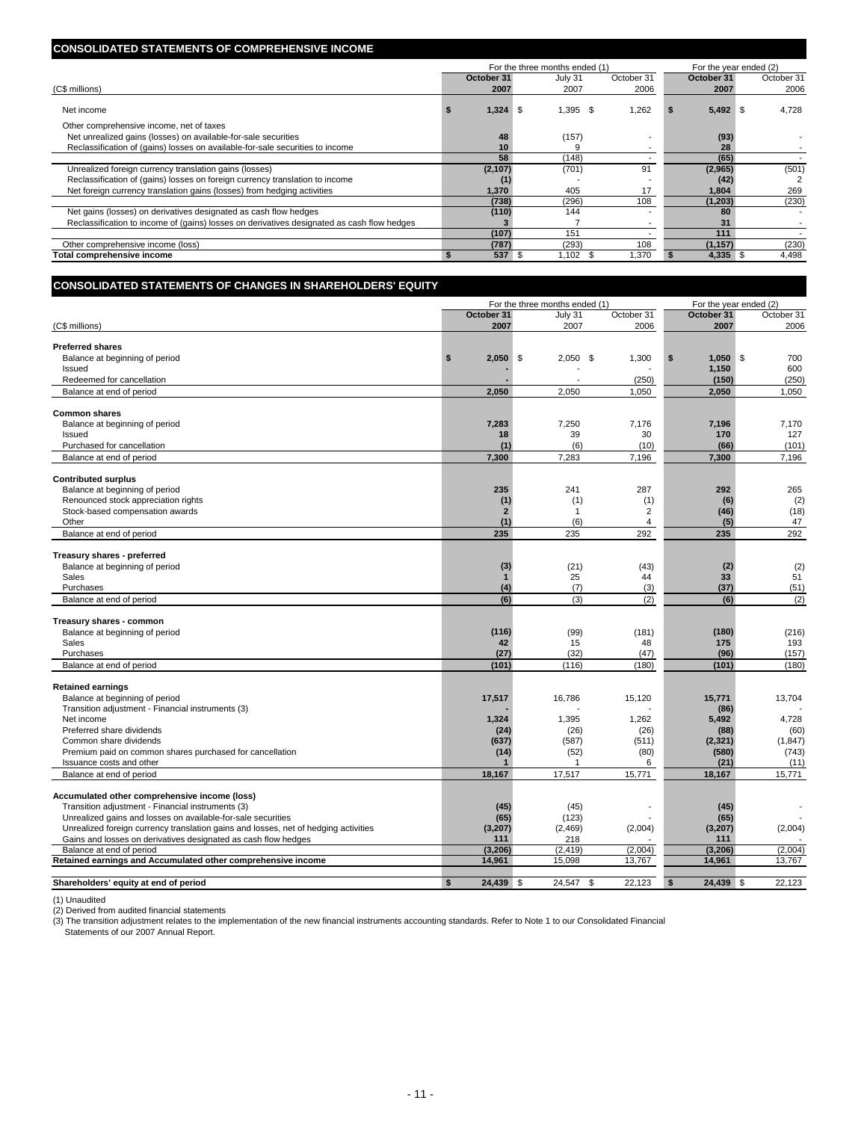#### **CONSOLIDATED STATEMENTS OF COMPREHENSIVE INCOME**

|                                                                                            |            |          | For the three months ended (1) |            | For the year ended (2) |            |
|--------------------------------------------------------------------------------------------|------------|----------|--------------------------------|------------|------------------------|------------|
|                                                                                            | October 31 |          | July 31                        | October 31 | October 31             | October 31 |
| (C\$ millions)                                                                             |            | 2007     | 2007                           | 2006       | 2007                   | 2006       |
| Net income                                                                                 |            | 1,324    | $1,395$ \$<br>- \$             | .262       | $5,492$ \$             | 4,728      |
| Other comprehensive income, net of taxes                                                   |            |          |                                |            |                        |            |
| Net unrealized gains (losses) on available-for-sale securities                             |            | 48       | (157)                          |            | (93)                   |            |
| Reclassification of (gains) losses on available-for-sale securities to income              |            | 10       |                                |            | 28                     |            |
|                                                                                            |            | 58       | (148)                          |            | (65)                   |            |
| Unrealized foreign currency translation gains (losses)                                     |            | (2, 107) | (701)                          | 91         | (2,965)                | (501)      |
| Reclassification of (gains) losses on foreign currency translation to income               |            |          |                                |            | (42)                   |            |
| Net foreign currency translation gains (losses) from hedging activities                    |            | 1.370    | 405                            | 17         | 1.804                  | 269        |
|                                                                                            |            | (738)    | (296)                          | 108        | (1,203)                | (230)      |
| Net gains (losses) on derivatives designated as cash flow hedges                           |            | (110)    | 144                            |            | 80                     |            |
| Reclassification to income of (gains) losses on derivatives designated as cash flow hedges |            |          |                                |            | 31                     |            |
|                                                                                            |            | (107)    | 151                            |            | 111                    |            |
| Other comprehensive income (loss)                                                          |            | (787)    | (293)                          | 108        | (1, 157)               | (230)      |
| Total comprehensive income                                                                 |            | 537      | $1,102$ \$                     | ,370       | $4,335$ \$             | 4,498      |

| <b>CONSOLIDATED STATEMENTS OF CHANGES IN SHAREHOLDERS' EQUITY</b>                   |                           |                                |                |                           |            |  |  |
|-------------------------------------------------------------------------------------|---------------------------|--------------------------------|----------------|---------------------------|------------|--|--|
|                                                                                     |                           | For the three months ended (1) |                | For the year ended (2)    |            |  |  |
|                                                                                     | October 31                | July 31                        | October 31     | October 31                | October 31 |  |  |
| (C\$ millions)                                                                      | 2007                      | 2007                           | 2006           | 2007                      | 2006       |  |  |
|                                                                                     |                           |                                |                |                           |            |  |  |
| <b>Preferred shares</b>                                                             |                           |                                |                |                           |            |  |  |
| Balance at beginning of period<br>Issued                                            | \$<br>2,050               | \$<br>2,050<br>-\$             | 1,300          | \$<br>$1,050$ \$<br>1,150 | 700<br>600 |  |  |
| Redeemed for cancellation                                                           |                           |                                | (250)          | (150)                     | (250)      |  |  |
| Balance at end of period                                                            | 2,050                     | 2,050                          | 1,050          | 2,050                     | 1,050      |  |  |
|                                                                                     |                           |                                |                |                           |            |  |  |
| <b>Common shares</b>                                                                |                           |                                |                |                           |            |  |  |
| Balance at beginning of period                                                      | 7,283                     | 7,250                          | 7,176          | 7,196                     | 7,170      |  |  |
| Issued                                                                              | 18                        | 39                             | 30             | 170                       | 127        |  |  |
| Purchased for cancellation                                                          | (1)                       | (6)                            | (10)           | (66)                      | (101)      |  |  |
| Balance at end of period                                                            | 7,300                     | 7,283                          | 7,196          | 7,300                     | 7,196      |  |  |
| <b>Contributed surplus</b>                                                          |                           |                                |                |                           |            |  |  |
| Balance at beginning of period                                                      | 235                       | 241                            | 287            | 292                       | 265        |  |  |
| Renounced stock appreciation rights                                                 | (1)                       | (1)                            | (1)            | (6)                       | (2)        |  |  |
| Stock-based compensation awards                                                     | $\overline{2}$            | $\mathbf{1}$                   | $\overline{2}$ | (46)                      | (18)       |  |  |
| Other                                                                               | (1)                       | (6)                            | $\overline{4}$ | (5)                       | 47         |  |  |
| Balance at end of period                                                            | 235                       | 235                            | 292            | 235                       | 292        |  |  |
|                                                                                     |                           |                                |                |                           |            |  |  |
| Treasury shares - preferred                                                         |                           |                                |                |                           |            |  |  |
| Balance at beginning of period<br>Sales                                             | (3)<br>$\mathbf 1$        | (21)<br>25                     | (43)<br>44     | (2)<br>33                 | (2)<br>51  |  |  |
| Purchases                                                                           | (4)                       | (7)                            | (3)            | (37)                      | (51)       |  |  |
| Balance at end of period                                                            | (6)                       | (3)                            | (2)            | (6)                       | (2)        |  |  |
|                                                                                     |                           |                                |                |                           |            |  |  |
| Treasury shares - common                                                            |                           |                                |                |                           |            |  |  |
| Balance at beginning of period                                                      | (116)                     | (99)                           | (181)          | (180)                     | (216)      |  |  |
| Sales                                                                               | 42                        | 15                             | 48             | 175                       | 193        |  |  |
| Purchases                                                                           | (27)                      | (32)                           | (47)           | (96)                      | (157)      |  |  |
| Balance at end of period                                                            | (101)                     | (116)                          | (180)          | (101)                     | (180)      |  |  |
| <b>Retained earnings</b>                                                            |                           |                                |                |                           |            |  |  |
| Balance at beginning of period                                                      | 17,517                    | 16,786                         | 15,120         | 15,771                    | 13,704     |  |  |
| Transition adjustment - Financial instruments (3)                                   |                           |                                |                | (86)                      |            |  |  |
| Net income                                                                          | 1,324                     | 1,395                          | 1,262          | 5,492                     | 4,728      |  |  |
| Preferred share dividends                                                           | (24)                      | (26)                           | (26)           | (88)                      | (60)       |  |  |
| Common share dividends                                                              | (637)                     | (587)                          | (511)          | (2, 321)                  | (1, 847)   |  |  |
| Premium paid on common shares purchased for cancellation                            | (14)                      | (52)                           | (80)           | (580)                     | (743)      |  |  |
| Issuance costs and other                                                            |                           | $\mathbf{1}$                   | 6              | (21)                      | (11)       |  |  |
| Balance at end of period                                                            | 18,167                    | 17,517                         | 15,771         | 18,167                    | 15,771     |  |  |
| Accumulated other comprehensive income (loss)                                       |                           |                                |                |                           |            |  |  |
| Transition adjustment - Financial instruments (3)                                   | (45)                      | (45)                           |                | (45)                      |            |  |  |
| Unrealized gains and losses on available-for-sale securities                        | (65)                      | (123)                          |                | (65)                      |            |  |  |
| Unrealized foreign currency translation gains and losses, net of hedging activities | (3,207)                   | (2,469)                        | (2,004)        | (3,207)                   | (2,004)    |  |  |
| Gains and losses on derivatives designated as cash flow hedges                      | 111                       | 218                            |                | 111                       |            |  |  |
| Balance at end of period                                                            | (3, 206)                  | (2, 419)                       | (2,004)        | (3, 206)                  | (2,004)    |  |  |
| Retained earnings and Accumulated other comprehensive income                        | 14,961                    | 15,098                         | 13,767         | 14,961                    | 13,767     |  |  |
| Shareholders' equity at end of period                                               | $\mathbf{s}$<br>24,439 \$ | 24,547 \$                      | 22,123         | $\mathbf{s}$<br>24,439 \$ | 22,123     |  |  |

(1) Unaudited<br>(2) Derived from audited financial statements<br>(3) The transition adjustment relates to the implementation of the new financial instruments accounting standards. Refer to Note 1 to our Consolidated Financial<br>(